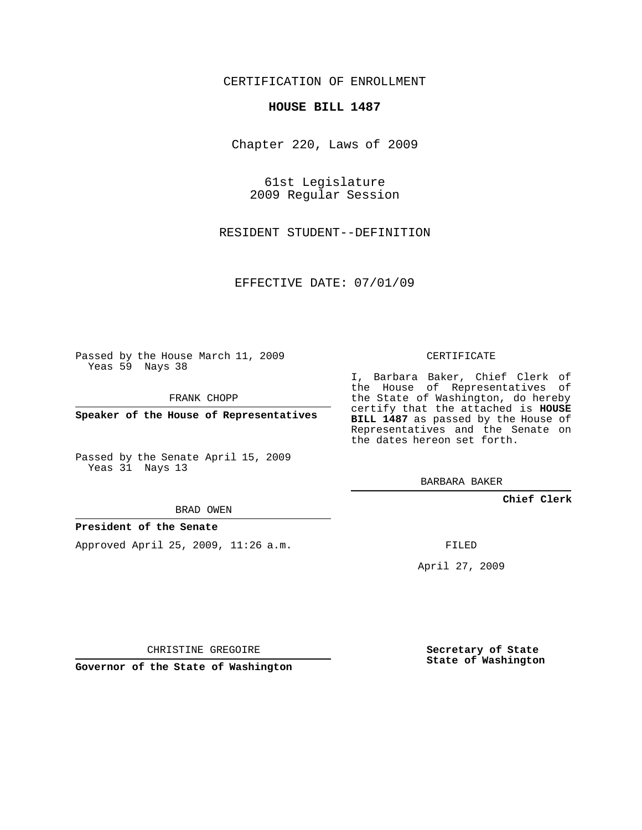## CERTIFICATION OF ENROLLMENT

## **HOUSE BILL 1487**

Chapter 220, Laws of 2009

61st Legislature 2009 Regular Session

RESIDENT STUDENT--DEFINITION

EFFECTIVE DATE: 07/01/09

Passed by the House March 11, 2009 Yeas 59 Nays 38

FRANK CHOPP

**Speaker of the House of Representatives**

Passed by the Senate April 15, 2009 Yeas 31 Nays 13

BRAD OWEN

## **President of the Senate**

Approved April 25, 2009, 11:26 a.m.

CERTIFICATE

I, Barbara Baker, Chief Clerk of the House of Representatives of the State of Washington, do hereby certify that the attached is **HOUSE BILL 1487** as passed by the House of Representatives and the Senate on the dates hereon set forth.

BARBARA BAKER

**Chief Clerk**

FILED

April 27, 2009

CHRISTINE GREGOIRE

**Governor of the State of Washington**

**Secretary of State State of Washington**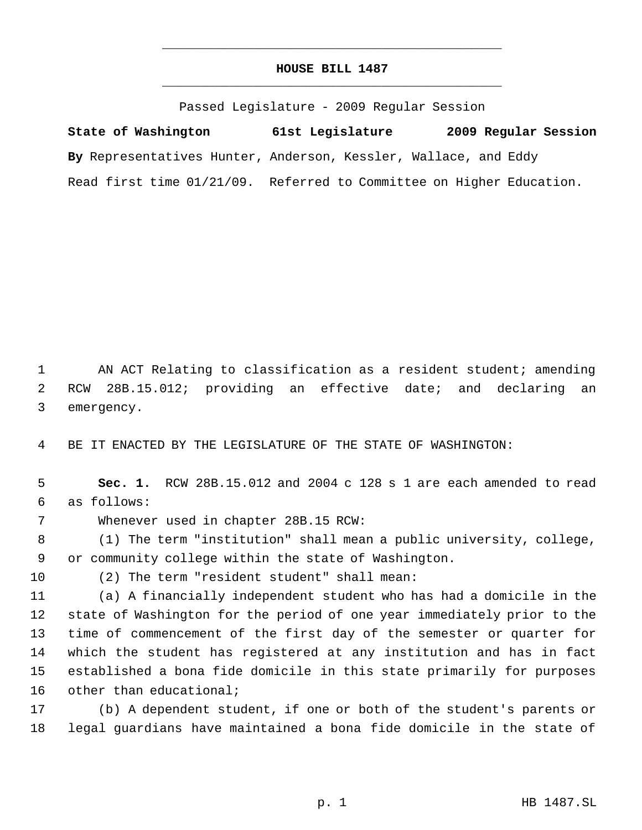## **HOUSE BILL 1487** \_\_\_\_\_\_\_\_\_\_\_\_\_\_\_\_\_\_\_\_\_\_\_\_\_\_\_\_\_\_\_\_\_\_\_\_\_\_\_\_\_\_\_\_\_

\_\_\_\_\_\_\_\_\_\_\_\_\_\_\_\_\_\_\_\_\_\_\_\_\_\_\_\_\_\_\_\_\_\_\_\_\_\_\_\_\_\_\_\_\_

Passed Legislature - 2009 Regular Session

**State of Washington 61st Legislature 2009 Regular Session By** Representatives Hunter, Anderson, Kessler, Wallace, and Eddy Read first time 01/21/09. Referred to Committee on Higher Education.

 AN ACT Relating to classification as a resident student; amending RCW 28B.15.012; providing an effective date; and declaring an emergency.

BE IT ENACTED BY THE LEGISLATURE OF THE STATE OF WASHINGTON:

 **Sec. 1.** RCW 28B.15.012 and 2004 c 128 s 1 are each amended to read as follows:

Whenever used in chapter 28B.15 RCW:

 (1) The term "institution" shall mean a public university, college, or community college within the state of Washington.

(2) The term "resident student" shall mean:

 (a) A financially independent student who has had a domicile in the state of Washington for the period of one year immediately prior to the time of commencement of the first day of the semester or quarter for which the student has registered at any institution and has in fact established a bona fide domicile in this state primarily for purposes 16 other than educational;

 (b) A dependent student, if one or both of the student's parents or legal guardians have maintained a bona fide domicile in the state of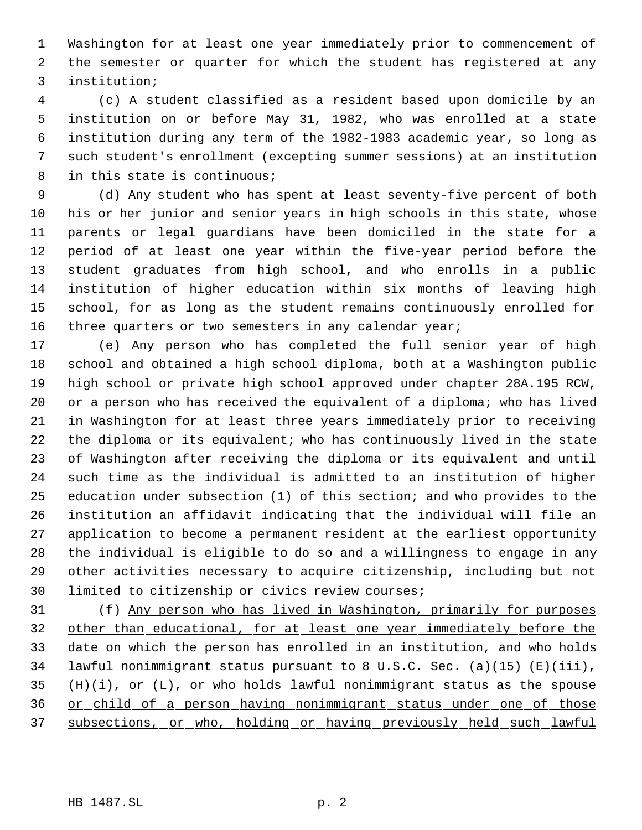Washington for at least one year immediately prior to commencement of the semester or quarter for which the student has registered at any institution;

 (c) A student classified as a resident based upon domicile by an institution on or before May 31, 1982, who was enrolled at a state institution during any term of the 1982-1983 academic year, so long as such student's enrollment (excepting summer sessions) at an institution in this state is continuous;

 (d) Any student who has spent at least seventy-five percent of both his or her junior and senior years in high schools in this state, whose parents or legal guardians have been domiciled in the state for a period of at least one year within the five-year period before the student graduates from high school, and who enrolls in a public institution of higher education within six months of leaving high school, for as long as the student remains continuously enrolled for 16 three quarters or two semesters in any calendar year;

 (e) Any person who has completed the full senior year of high school and obtained a high school diploma, both at a Washington public high school or private high school approved under chapter 28A.195 RCW, or a person who has received the equivalent of a diploma; who has lived in Washington for at least three years immediately prior to receiving the diploma or its equivalent; who has continuously lived in the state of Washington after receiving the diploma or its equivalent and until such time as the individual is admitted to an institution of higher education under subsection (1) of this section; and who provides to the institution an affidavit indicating that the individual will file an application to become a permanent resident at the earliest opportunity the individual is eligible to do so and a willingness to engage in any other activities necessary to acquire citizenship, including but not limited to citizenship or civics review courses;

 (f) Any person who has lived in Washington, primarily for purposes 32 other than educational, for at least one year immediately before the date on which the person has enrolled in an institution, and who holds lawful nonimmigrant status pursuant to 8 U.S.C. Sec. (a)(15) (E)(iii),  $(1)$   $(i)$ , or  $(L)$ , or who holds lawful nonimmigrant status as the spouse or child of a person having nonimmigrant status under one of those subsections, or who, holding or having previously held such lawful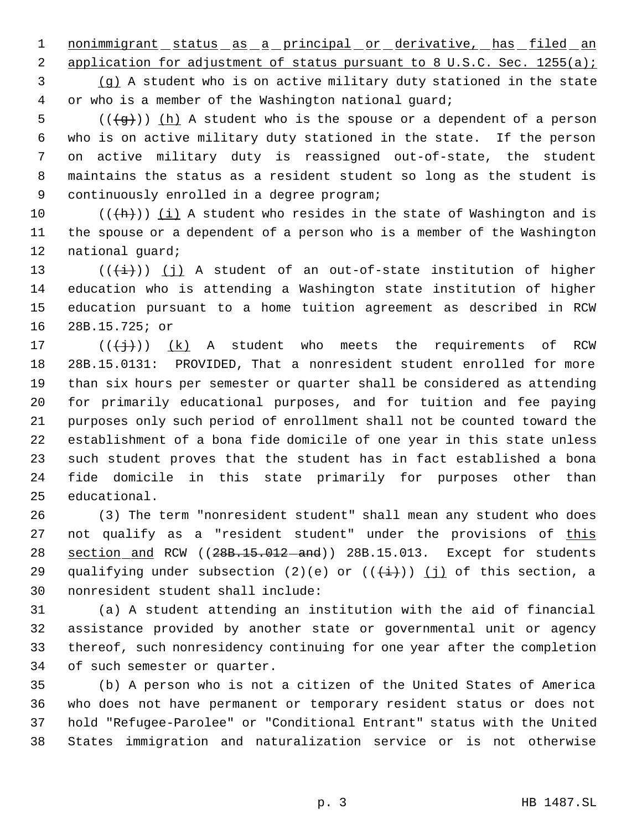1 nonimmigrant status as a principal or derivative, has filed an

2 application for adjustment of status pursuant to 8 U.S.C. Sec. 1255(a); (g) A student who is on active military duty stationed in the state or who is a member of the Washington national guard;

5 ( $(\overline{g})$ ) (h) A student who is the spouse or a dependent of a person who is on active military duty stationed in the state. If the person on active military duty is reassigned out-of-state, the student maintains the status as a resident student so long as the student is continuously enrolled in a degree program;

 $((+h))$  (i) A student who resides in the state of Washington and is the spouse or a dependent of a person who is a member of the Washington national guard;

13 ( $(\frac{1}{1})$ ) (j) A student of an out-of-state institution of higher education who is attending a Washington state institution of higher education pursuant to a home tuition agreement as described in RCW 28B.15.725; or

17 ( $(\frac{1}{2})$ )  $(k)$  A student who meets the requirements of RCW 28B.15.0131: PROVIDED, That a nonresident student enrolled for more than six hours per semester or quarter shall be considered as attending for primarily educational purposes, and for tuition and fee paying purposes only such period of enrollment shall not be counted toward the establishment of a bona fide domicile of one year in this state unless such student proves that the student has in fact established a bona fide domicile in this state primarily for purposes other than educational.

 (3) The term "nonresident student" shall mean any student who does 27 not qualify as a "resident student" under the provisions of this 28 section and RCW ((28B.15.012-and)) 28B.15.013. Except for students 29 qualifying under subsection (2)(e) or  $((\frac{+}{+})^2)$  (j) of this section, a nonresident student shall include:

 (a) A student attending an institution with the aid of financial assistance provided by another state or governmental unit or agency thereof, such nonresidency continuing for one year after the completion of such semester or quarter.

 (b) A person who is not a citizen of the United States of America who does not have permanent or temporary resident status or does not hold "Refugee-Parolee" or "Conditional Entrant" status with the United States immigration and naturalization service or is not otherwise